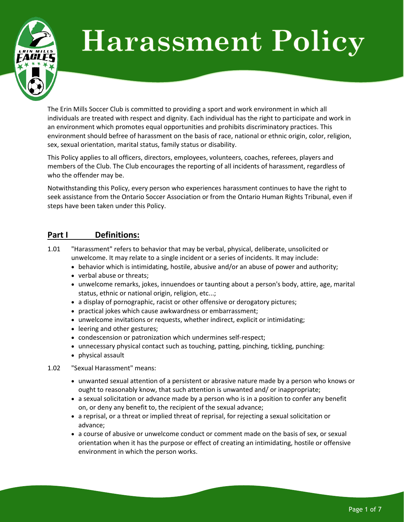

# **Harassment Policy**

The Erin Mills Soccer Club is committed to providing a sport and work environment in which all individuals are treated with respect and dignity. Each individual has the right to participate and work in an environment which promotes equal opportunities and prohibits discriminatory practices. This environment should befree of harassment on the basis of race, national or ethnic origin, color, religion, sex, sexual orientation, marital status, family status or disability.

This Policy applies to all officers, directors, employees, volunteers, coaches, referees, players and members of the Club. The Club encourages the reporting of all incidents of harassment, regardless of who the offender may be.

Notwithstanding this Policy, every person who experiences harassment continues to have the right to seek assistance from the Ontario Soccer Association or from the Ontario Human Rights Tribunal, even if steps have been taken under this Policy.

## **Part I Definitions:**

- 1.01 "Harassment" refers to behavior that may be verbal, physical, deliberate, unsolicited or unwelcome. It may relate to a single incident or a series of incidents. It may include:
	- behavior which is intimidating, hostile, abusive and/or an abuse of power and authority;
	- verbal abuse or threats;
	- unwelcome remarks, jokes, innuendoes or taunting about a person's body, attire, age, marital status, ethnic or national origin, religion, etc...;
	- a display of pornographic, racist or other offensive or derogatory pictures;
	- practical jokes which cause awkwardness or embarrassment;
	- unwelcome invitations or requests, whether indirect, explicit or intimidating;
	- leering and other gestures;
	- condescension or patronization which undermines self-respect;
	- unnecessary physical contact such as touching, patting, pinching, tickling, punching:
	- physical assault
- 1.02 "Sexual Harassment" means:
	- unwanted sexual attention of a persistent or abrasive nature made by a person who knows or ought to reasonably know, that such attention is unwanted and/ or inappropriate;
	- a sexual solicitation or advance made by a person who is in a position to confer any benefit on, or deny any benefit to, the recipient of the sexual advance;
	- a reprisal, or a threat or implied threat of reprisal, for rejecting a sexual solicitation or advance;
	- a course of abusive or unwelcome conduct or comment made on the basis of sex, or sexual orientation when it has the purpose or effect of creating an intimidating, hostile or offensive environment in which the person works.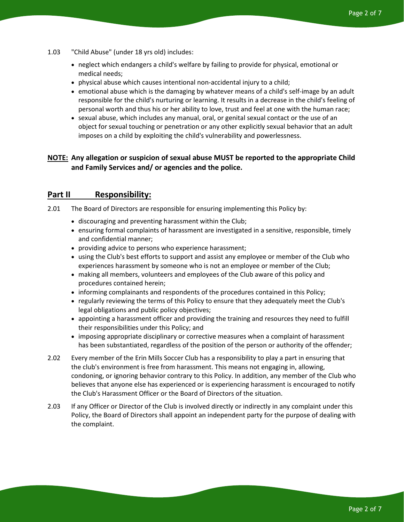- 1.03 "Child Abuse" (under 18 yrs old) includes:
	- neglect which endangers a child's welfare by failing to provide for physical, emotional or medical needs;
	- physical abuse which causes intentional non-accidental injury to a child;
	- emotional abuse which is the damaging by whatever means of a child's self-image by an adult responsible for the child's nurturing or learning. It results in a decrease in the child's feeling of personal worth and thus his or her ability to love, trust and feel at one with the human race;
	- sexual abuse, which includes any manual, oral, or genital sexual contact or the use of an object for sexual touching or penetration or any other explicitly sexual behavior that an adult imposes on a child by exploiting the child's vulnerability and powerlessness.

## **NOTE: Any allegation or suspicion of sexual abuse MUST be reported to the appropriate Child and Family Services and/ or agencies and the police.**

## **Part II Responsibility:**

- 2.01 The Board of Directors are responsible for ensuring implementing this Policy by:
	- discouraging and preventing harassment within the Club;
	- ensuring formal complaints of harassment are investigated in a sensitive, responsible, timely and confidential manner;
	- providing advice to persons who experience harassment;
	- using the Club's best efforts to support and assist any employee or member of the Club who experiences harassment by someone who is not an employee or member of the Club;
	- making all members, volunteers and employees of the Club aware of this policy and procedures contained herein;
	- informing complainants and respondents of the procedures contained in this Policy;
	- regularly reviewing the terms of this Policy to ensure that they adequately meet the Club's legal obligations and public policy objectives;
	- appointing a harassment officer and providing the training and resources they need to fulfill their responsibilities under this Policy; and
	- imposing appropriate disciplinary or corrective measures when a complaint of harassment has been substantiated, regardless of the position of the person or authority of the offender;
- 2.02 Every member of the Erin Mills Soccer Club has a responsibility to play a part in ensuring that the club's environment is free from harassment. This means not engaging in, allowing, condoning, or ignoring behavior contrary to this Policy. In addition, any member of the Club who believes that anyone else has experienced or is experiencing harassment is encouraged to notify the Club's Harassment Officer or the Board of Directors of the situation.
- 2.03 If any Officer or Director of the Club is involved directly or indirectly in any complaint under this Policy, the Board of Directors shall appoint an independent party for the purpose of dealing with the complaint.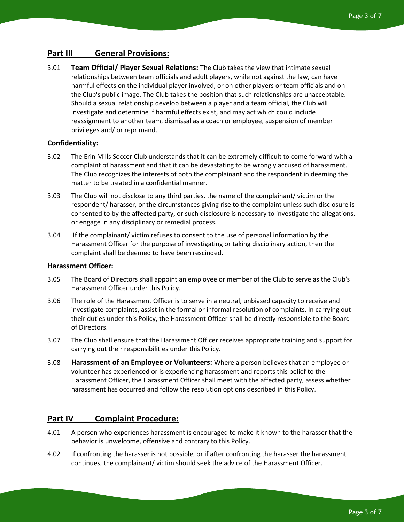## **Part III General Provisions:**

3.01 **Team Official/ Player Sexual Relations:** The Club takes the view that intimate sexual relationships between team officials and adult players, while not against the law, can have harmful effects on the individual player involved, or on other players or team officials and on the Club's public image. The Club takes the position that such relationships are unacceptable. Should a sexual relationship develop between a player and a team official, the Club will investigate and determine if harmful effects exist, and may act which could include reassignment to another team, dismissal as a coach or employee, suspension of member privileges and/ or reprimand.

#### **Confidentiality:**

- 3.02 The Erin Mills Soccer Club understands that it can be extremely difficult to come forward with a complaint of harassment and that it can be devastating to be wrongly accused of harassment. The Club recognizes the interests of both the complainant and the respondent in deeming the matter to be treated in a confidential manner.
- 3.03 The Club will not disclose to any third parties, the name of the complainant/ victim or the respondent/ harasser, or the circumstances giving rise to the complaint unless such disclosure is consented to by the affected party, or such disclosure is necessary to investigate the allegations, or engage in any disciplinary or remedial process.
- 3.04 If the complainant/ victim refuses to consent to the use of personal information by the Harassment Officer for the purpose of investigating or taking disciplinary action, then the complaint shall be deemed to have been rescinded.

#### **Harassment Officer:**

- 3.05 The Board of Directors shall appoint an employee or member of the Club to serve as the Club's Harassment Officer under this Policy.
- 3.06 The role of the Harassment Officer is to serve in a neutral, unbiased capacity to receive and investigate complaints, assist in the formal or informal resolution of complaints. In carrying out their duties under this Policy, the Harassment Officer shall be directly responsible to the Board of Directors.
- 3.07 The Club shall ensure that the Harassment Officer receives appropriate training and support for carrying out their responsibilities under this Policy.
- 3.08 **Harassment of an Employee or Volunteers:** Where a person believes that an employee or volunteer has experienced or is experiencing harassment and reports this belief to the Harassment Officer, the Harassment Officer shall meet with the affected party, assess whether harassment has occurred and follow the resolution options described in this Policy.

#### **Part IV Complaint Procedure:**

- 4.01 A person who experiences harassment is encouraged to make it known to the harasser that the behavior is unwelcome, offensive and contrary to this Policy.
- 4.02 If confronting the harasser is not possible, or if after confronting the harasser the harassment continues, the complainant/ victim should seek the advice of the Harassment Officer.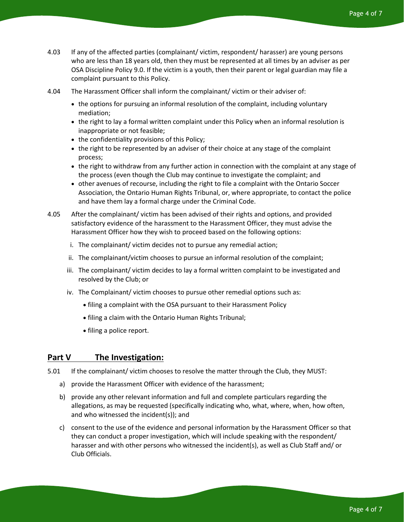- 4.03 If any of the affected parties (complainant/ victim, respondent/ harasser) are young persons who are less than 18 years old, then they must be represented at all times by an adviser as per OSA Discipline Policy 9.0. If the victim is a youth, then their parent or legal guardian may file a complaint pursuant to this Policy.
- 4.04 The Harassment Officer shall inform the complainant/ victim or their adviser of:
	- the options for pursuing an informal resolution of the complaint, including voluntary mediation;
	- the right to lay a formal written complaint under this Policy when an informal resolution is inappropriate or not feasible;
	- the confidentiality provisions of this Policy;
	- the right to be represented by an adviser of their choice at any stage of the complaint process;
	- the right to withdraw from any further action in connection with the complaint at any stage of the process (even though the Club may continue to investigate the complaint; and
	- other avenues of recourse, including the right to file a complaint with the Ontario Soccer Association, the Ontario Human Rights Tribunal, or, where appropriate, to contact the police and have them lay a formal charge under the Criminal Code.
- 4.05 After the complainant/ victim has been advised of their rights and options, and provided satisfactory evidence of the harassment to the Harassment Officer, they must advise the Harassment Officer how they wish to proceed based on the following options:
	- i. The complainant/ victim decides not to pursue any remedial action;
	- ii. The complainant/victim chooses to pursue an informal resolution of the complaint;
	- iii. The complainant/ victim decides to lay a formal written complaint to be investigated and resolved by the Club; or
	- iv. The Complainant/ victim chooses to pursue other remedial options such as:
		- filing a complaint with the OSA pursuant to their Harassment Policy
		- filing a claim with the Ontario Human Rights Tribunal;
		- filing a police report.

### **Part V The Investigation:**

- 5.01 If the complainant/ victim chooses to resolve the matter through the Club, they MUST:
	- a) provide the Harassment Officer with evidence of the harassment;
	- b) provide any other relevant information and full and complete particulars regarding the allegations, as may be requested (specifically indicating who, what, where, when, how often, and who witnessed the incident(s)); and
	- c) consent to the use of the evidence and personal information by the Harassment Officer so that they can conduct a proper investigation, which will include speaking with the respondent/ harasser and with other persons who witnessed the incident(s), as well as Club Staff and/ or Club Officials.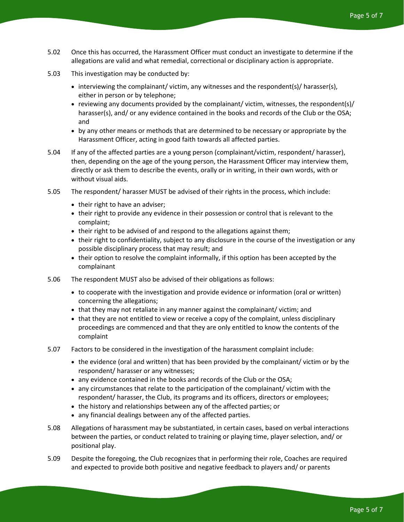- 5.02 Once this has occurred, the Harassment Officer must conduct an investigate to determine if the allegations are valid and what remedial, correctional or disciplinary action is appropriate.
- 5.03 This investigation may be conducted by:
	- interviewing the complainant/victim, any witnesses and the respondent(s)/ harasser(s), either in person or by telephone;
	- reviewing any documents provided by the complainant/ victim, witnesses, the respondent(s)/ harasser(s), and/ or any evidence contained in the books and records of the Club or the OSA; and
	- by any other means or methods that are determined to be necessary or appropriate by the Harassment Officer, acting in good faith towards all affected parties.
- 5.04 If any of the affected parties are a young person (complainant/victim, respondent/ harasser), then, depending on the age of the young person, the Harassment Officer may interview them, directly or ask them to describe the events, orally or in writing, in their own words, with or without visual aids.
- 5.05 The respondent/ harasser MUST be advised of their rights in the process, which include:
	- their right to have an adviser;
	- their right to provide any evidence in their possession or control that is relevant to the complaint;
	- their right to be advised of and respond to the allegations against them;
	- their right to confidentiality, subject to any disclosure in the course of the investigation or any possible disciplinary process that may result; and
	- their option to resolve the complaint informally, if this option has been accepted by the complainant
- 5.06 The respondent MUST also be advised of their obligations as follows:
	- to cooperate with the investigation and provide evidence or information (oral or written) concerning the allegations;
	- that they may not retaliate in any manner against the complainant/ victim; and
	- that they are not entitled to view or receive a copy of the complaint, unless disciplinary proceedings are commenced and that they are only entitled to know the contents of the complaint
- 5.07 Factors to be considered in the investigation of the harassment complaint include:
	- the evidence (oral and written) that has been provided by the complainant/ victim or by the respondent/ harasser or any witnesses;
	- any evidence contained in the books and records of the Club or the OSA;
	- any circumstances that relate to the participation of the complainant/ victim with the respondent/ harasser, the Club, its programs and its officers, directors or employees;
	- the history and relationships between any of the affected parties; or
	- any financial dealings between any of the affected parties.
- 5.08 Allegations of harassment may be substantiated, in certain cases, based on verbal interactions between the parties, or conduct related to training or playing time, player selection, and/ or positional play.
- 5.09 Despite the foregoing, the Club recognizes that in performing their role, Coaches are required and expected to provide both positive and negative feedback to players and/ or parents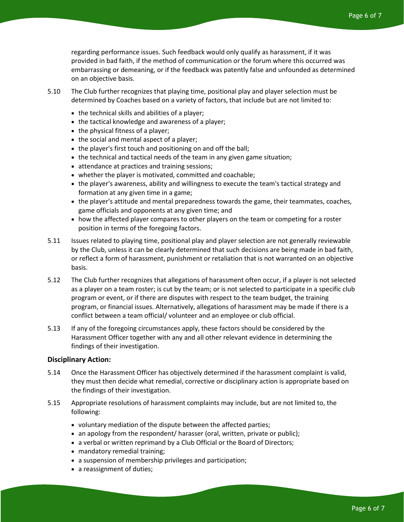regarding performance issues. Such feedback would only qualify as harassment, if it was provided in bad faith, if the method of communication or the forum where this occurred was embarrassing or demeaning, or if the feedback was patently false and unfounded as determined on an objective basis.

- 5.10 The Club further recognizes that playing time, positional play and player selection must be determined by Coaches based on a variety of factors, that include but are not limited to:
	- the technical skills and abilities of a player;
	- the tactical knowledge and awareness of a player;
	- the physical fitness of a player;
	- the social and mental aspect of a player;
	- the player's first touch and positioning on and off the ball;
	- the technical and tactical needs of the team in any given game situation;
	- attendance at practices and training sessions;
	- whether the player is motivated, committed and coachable;
	- the player's awareness, ability and willingness to execute the team's tactical strategy and formation at any given time in a game;
	- the player's attitude and mental preparedness towards the game, their teammates, coaches, game officials and opponents at any given time; and
	- how the affected player compares to other players on the team or competing for a roster position in terms of the foregoing factors.
- 5.11 Issues related to playing time, positional play and player selection are not generally reviewable by the Club, unless it can be clearly determined that such decisions are being made in bad faith, or reflect a form of harassment, punishment or retaliation that is not warranted on an objective basis.
- 5.12 The Club further recognizes that allegations of harassment often occur, if a player is not selected as a player on a team roster; is cut by the team; or is not selected to participate in a specific club program or event, or if there are disputes with respect to the team budget, the training program, or financial issues. Alternatively, allegations of harassment may be made if there is a conflict between a team official/ volunteer and an employee or club official.
- 5.13 If any of the foregoing circumstances apply, these factors should be considered by the Harassment Officer together with any and all other relevant evidence in determining the findings of their investigation.

#### **Disciplinary Action:**

- 5.14 Once the Harassment Officer has objectively determined if the harassment complaint is valid, they must then decide what remedial, corrective or disciplinary action is appropriate based on the findings of their investigation.
- 5.15 Appropriate resolutions of harassment complaints may include, but are not limited to, the following:
	- voluntary mediation of the dispute between the affected parties;
	- an apology from the respondent/ harasser (oral, written, private or public);
	- a verbal or written reprimand by a Club Official or the Board of Directors;
	- mandatory remedial training;
	- a suspension of membership privileges and participation;
	- a reassignment of duties;